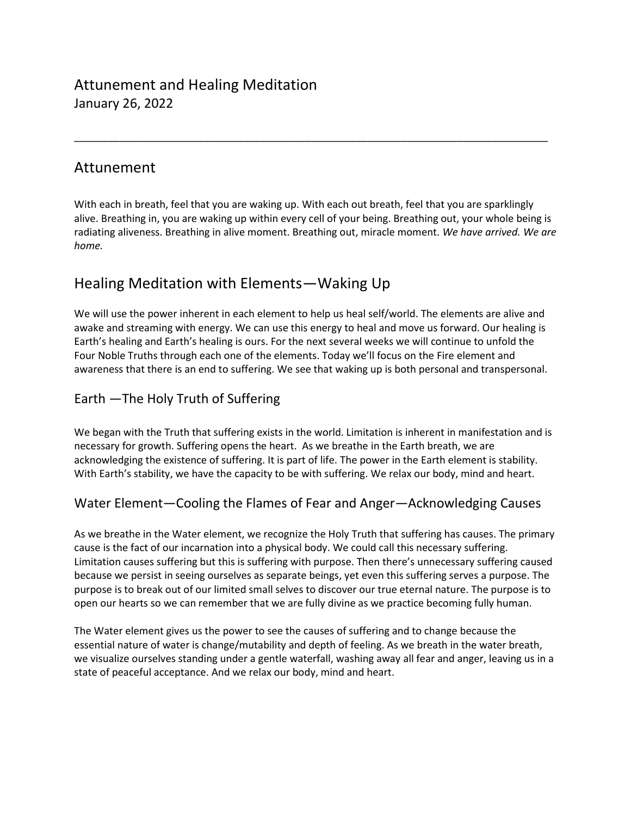# Attunement and Healing Meditation January 26, 2022

## Attunement

With each in breath, feel that you are waking up. With each out breath, feel that you are sparklingly alive. Breathing in, you are waking up within every cell of your being. Breathing out, your whole being is radiating aliveness. Breathing in alive moment. Breathing out, miracle moment. *We have arrived. We are home.*

\_\_\_\_\_\_\_\_\_\_\_\_\_\_\_\_\_\_\_\_\_\_\_\_\_\_\_\_\_\_\_\_\_\_\_\_\_\_\_\_\_\_\_\_\_\_\_\_\_\_\_\_\_\_\_\_\_\_\_\_\_\_\_\_\_\_\_\_\_\_\_\_\_\_\_\_\_\_\_\_\_\_\_\_

## Healing Meditation with Elements—Waking Up

We will use the power inherent in each element to help us heal self/world. The elements are alive and awake and streaming with energy. We can use this energy to heal and move us forward. Our healing is Earth's healing and Earth's healing is ours. For the next several weeks we will continue to unfold the Four Noble Truths through each one of the elements. Today we'll focus on the Fire element and awareness that there is an end to suffering. We see that waking up is both personal and transpersonal.

#### Earth —The Holy Truth of Suffering

We began with the Truth that suffering exists in the world. Limitation is inherent in manifestation and is necessary for growth. Suffering opens the heart. As we breathe in the Earth breath, we are acknowledging the existence of suffering. It is part of life. The power in the Earth element is stability. With Earth's stability, we have the capacity to be with suffering. We relax our body, mind and heart.

#### Water Element—Cooling the Flames of Fear and Anger—Acknowledging Causes

As we breathe in the Water element, we recognize the Holy Truth that suffering has causes. The primary cause is the fact of our incarnation into a physical body. We could call this necessary suffering. Limitation causes suffering but this is suffering with purpose. Then there's unnecessary suffering caused because we persist in seeing ourselves as separate beings, yet even this suffering serves a purpose. The purpose is to break out of our limited small selves to discover our true eternal nature. The purpose is to open our hearts so we can remember that we are fully divine as we practice becoming fully human.

The Water element gives us the power to see the causes of suffering and to change because the essential nature of water is change/mutability and depth of feeling. As we breath in the water breath, we visualize ourselves standing under a gentle waterfall, washing away all fear and anger, leaving us in a state of peaceful acceptance. And we relax our body, mind and heart.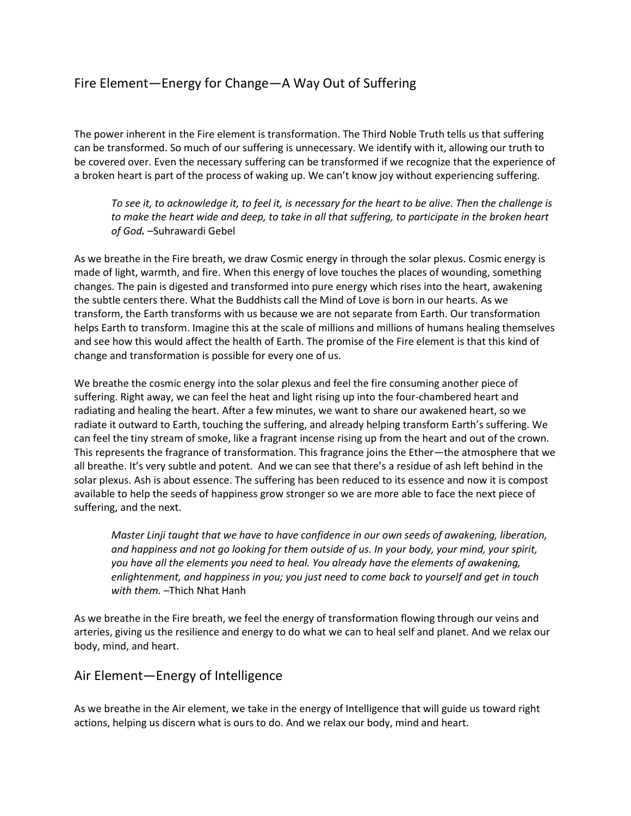## Fire Element—Energy for Change—A Way Out of Suffering

The power inherent in the Fire element is transformation. The Third Noble Truth tells us that suffering can be transformed. So much of our suffering is unnecessary. We identify with it, allowing our truth to be covered over. Even the necessary suffering can be transformed if we recognize that the experience of a broken heart is part of the process of waking up. We can't know joy without experiencing suffering.

*To see it, to acknowledge it, to feel it, is necessary for the heart to be alive. Then the challenge is to make the heart wide and deep, to take in all that suffering, to participate in the broken heart of God.* –Suhrawardi Gebel

As we breathe in the Fire breath, we draw Cosmic energy in through the solar plexus. Cosmic energy is made of light, warmth, and fire. When this energy of love touches the places of wounding, something changes. The pain is digested and transformed into pure energy which rises into the heart, awakening the subtle centers there. What the Buddhists call the Mind of Love is born in our hearts. As we transform, the Earth transforms with us because we are not separate from Earth. Our transformation helps Earth to transform. Imagine this at the scale of millions and millions of humans healing themselves and see how this would affect the health of Earth. The promise of the Fire element is that this kind of change and transformation is possible for every one of us.

We breathe the cosmic energy into the solar plexus and feel the fire consuming another piece of suffering. Right away, we can feel the heat and light rising up into the four-chambered heart and radiating and healing the heart. After a few minutes, we want to share our awakened heart, so we radiate it outward to Earth, touching the suffering, and already helping transform Earth's suffering. We can feel the tiny stream of smoke, like a fragrant incense rising up from the heart and out of the crown. This represents the fragrance of transformation. This fragrance joins the Ether—the atmosphere that we all breathe. It's very subtle and potent. And we can see that there's a residue of ash left behind in the solar plexus. Ash is about essence. The suffering has been reduced to its essence and now it is compost available to help the seeds of happiness grow stronger so we are more able to face the next piece of suffering, and the next.

*Master Linji taught that we have to have confidence in our own seeds of awakening, liberation, and happiness and not go looking for them outside of us. In your body, your mind, your spirit, you have all the elements you need to heal. You already have the elements of awakening, enlightenment, and happiness in you; you just need to come back to yourself and get in touch with them.* –Thich Nhat Hanh

As we breathe in the Fire breath, we feel the energy of transformation flowing through our veins and arteries, giving us the resilience and energy to do what we can to heal self and planet. And we relax our body, mind, and heart.

#### Air Element—Energy of Intelligence

As we breathe in the Air element, we take in the energy of Intelligence that will guide us toward right actions, helping us discern what is ours to do. And we relax our body, mind and heart.